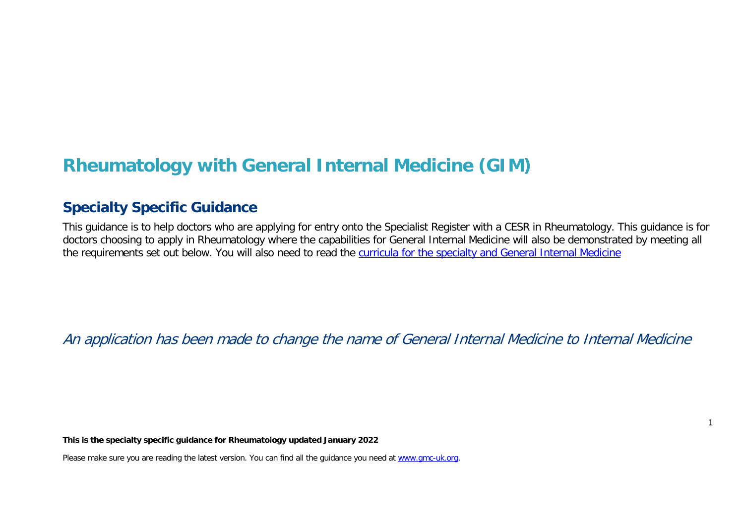# **Rheumatology with General Internal Medicine (GIM)**

# **Specialty Specific Guidance**

This guidance is to help doctors who are applying for entry onto the Specialist Register with a CESR in Rheumatology. This guidance is for doctors choosing to apply in Rheumatology where the capabilities for General Internal Medicine will also be demonstrated by meeting all the requirements set out below. You will also need to read the [curricula for the specialty and General Internal Medicine](https://www.gmc-uk.org/education/standards-guidance-and-curricula/curricula%23T)

An application has been made to change the name of General Internal Medicine to Internal Medicine

**This is the specialty specific guidance for Rheumatology updated January 2022**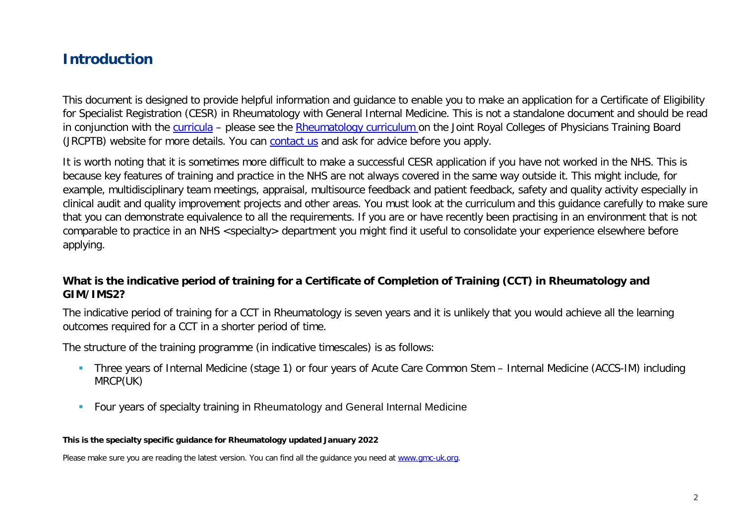# **Introduction**

This document is designed to provide helpful information and guidance to enable you to make an application for a Certificate of Eligibility for Specialist Registration (CESR) in Rheumatology with General Internal Medicine. This is not a standalone document and should be read in conjunction with the [curricula](https://www.gmc-uk.org/education/standards-guidance-and-curricula/curricula#T) – please see the [Rheumatology curriculum o](https://www.jrcptb.org.uk/sites/default/files/Updated%20Rheumatology%20Curriculum%20Draft%2014122020.pdf)n the Joint Royal Colleges of Physicians Training Board (JRCPTB) website for more details. You can [contact](http://www.gmc-uk.org/about/contacts.asp) us and ask for advice before you apply.

It is worth noting that it is sometimes more difficult to make a successful CESR application if you have not worked in the NHS. This is because key features of training and practice in the NHS are not always covered in the same way outside it. This might include, for example, multidisciplinary team meetings, appraisal, multisource feedback and patient feedback, safety and quality activity especially in clinical audit and quality improvement projects and other areas. You must look at the curriculum and this guidance carefully to make sure that you can demonstrate equivalence to all the requirements. If you are or have recently been practising in an environment that is not comparable to practice in an NHS <specialty> department you might find it useful to consolidate your experience elsewhere before applying.

### **What is the indicative period of training for a Certificate of Completion of Training (CCT) in Rheumatology and GIM/IMS2?**

The indicative period of training for a CCT in Rheumatology is seven years and it is unlikely that you would achieve all the learning outcomes required for a CCT in a shorter period of time.

The structure of the training programme (in indicative timescales) is as follows:

- Three years of Internal Medicine (stage 1) or four years of Acute Care Common Stem Internal Medicine (ACCS-IM) including MRCP(UK)
- **Four years of specialty training in Rheumatology and General Internal Medicine**

#### **This is the specialty specific guidance for Rheumatology updated January 2022**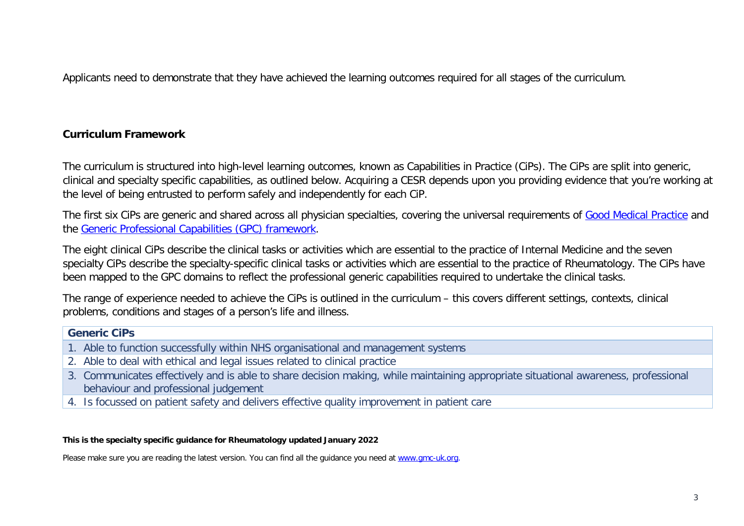Applicants need to demonstrate that they have achieved the learning outcomes required for all stages of the curriculum.

### **Curriculum Framework**

The curriculum is structured into high-level learning outcomes, known as Capabilities in Practice (CiPs). The CiPs are split into generic, clinical and specialty specific capabilities, as outlined below. Acquiring a CESR depends upon you providing evidence that you're working at the level of being entrusted to perform safely and independently for each CiP.

The first six CiPs are generic and shared across all physician specialties, covering the universal requirements of [Good Medical Practice](https://www.gmc-uk.org/-/media/documents/good-medical-practice---english-20200128_pdf-51527435.pdf?la=en&hash=DA1263358CCA88F298785FE2BD7610EB4EE9A530) and the [Generic Professional Capabilities \(GPC\) framework.](https://www.gmc-uk.org/-/media/documents/generic-professional-capabilities-framework--0817_pdf-70417127.pdf)

The eight clinical CiPs describe the clinical tasks or activities which are essential to the practice of Internal Medicine and the seven specialty CiPs describe the specialty-specific clinical tasks or activities which are essential to the practice of Rheumatology. The CiPs have been mapped to the GPC domains to reflect the professional generic capabilities required to undertake the clinical tasks.

The range of experience needed to achieve the CiPs is outlined in the curriculum – this covers different settings, contexts, clinical problems, conditions and stages of a person's life and illness.

#### **Generic CiPs**

- 1. Able to function successfully within NHS organisational and management systems
- 2. Able to deal with ethical and legal issues related to clinical practice
- 3. Communicates effectively and is able to share decision making, while maintaining appropriate situational awareness, professional behaviour and professional judgement
- 4. Is focussed on patient safety and delivers effective quality improvement in patient care

#### **This is the specialty specific guidance for Rheumatology updated January 2022**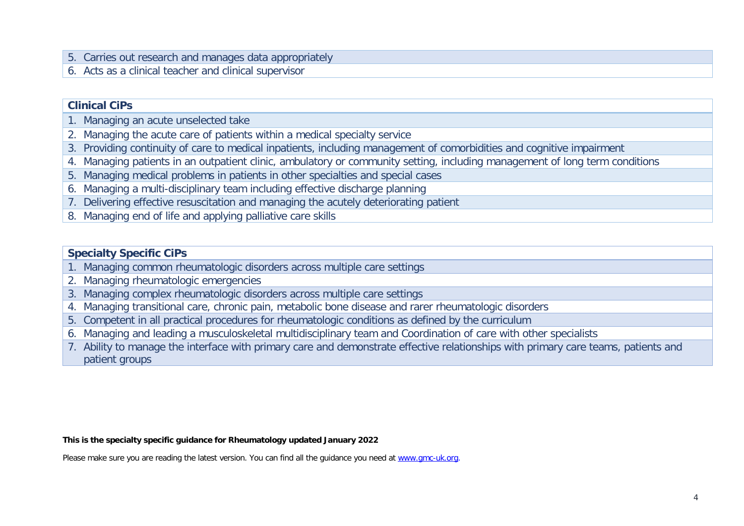- 5. Carries out research and manages data appropriately
- 6. Acts as a clinical teacher and clinical supervisor

#### **Clinical CiPs**

- 1. Managing an acute unselected take
- 2. Managing the acute care of patients within a medical specialty service
- 3. Providing continuity of care to medical inpatients, including management of comorbidities and cognitive impairment
- 4. Managing patients in an outpatient clinic, ambulatory or community setting, including management of long term conditions
- 5. Managing medical problems in patients in other specialties and special cases
- 6. Managing a multi-disciplinary team including effective discharge planning
- 7. Delivering effective resuscitation and managing the acutely deteriorating patient
- 8. Managing end of life and applying palliative care skills

#### **Specialty Specific CiPs**

- 1. Managing common rheumatologic disorders across multiple care settings
- 2. Managing rheumatologic emergencies
- 3. Managing complex rheumatologic disorders across multiple care settings
- 4. Managing transitional care, chronic pain, metabolic bone disease and rarer rheumatologic disorders
- 5. Competent in all practical procedures for rheumatologic conditions as defined by the curriculum
- 6. Managing and leading a musculoskeletal multidisciplinary team and Coordination of care with other specialists
- 7. Ability to manage the interface with primary care and demonstrate effective relationships with primary care teams, patients and patient groups

#### **This is the specialty specific guidance for Rheumatology updated January 2022**

Please make sure you are reading the latest version. You can find all the guidance you need at [www.gmc-uk.org.](http://www.gmc-uk.org/)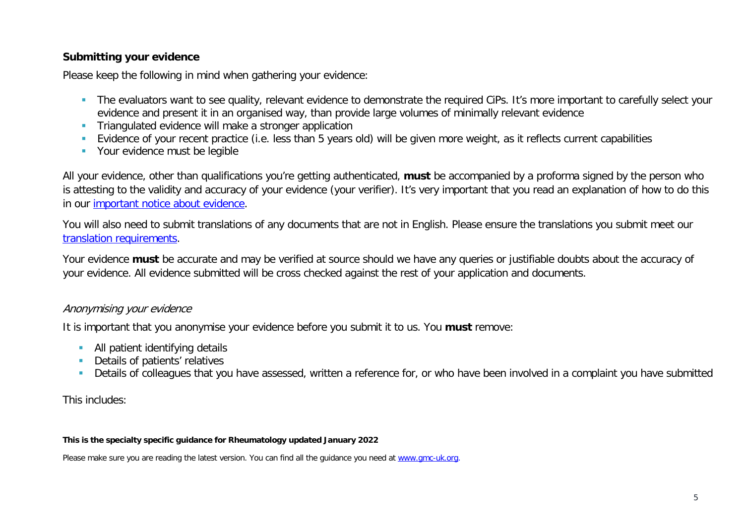### **Submitting your evidence**

Please keep the following in mind when gathering your evidence:

- The evaluators want to see quality, relevant evidence to demonstrate the required CiPs. It's more important to carefully select your evidence and present it in an organised way, than provide large volumes of minimally relevant evidence
- **Triangulated evidence will make a stronger application**
- Evidence of your recent practice (i.e. less than 5 years old) will be given more weight, as it reflects current capabilities
- **Your evidence must be legible**

All your evidence, other than qualifications you're getting authenticated, **must** be accompanied by a proforma signed by the person who is attesting to the validity and accuracy of your evidence (your verifier). It's very important that you read an explanation of how to do this in our [important notice about evidence.](http://www.gmc-uk.org/doctors/evidence_notice.asp)

You will also need to submit translations of any documents that are not in English. Please ensure the translations you submit meet our [translation requirements.](http://www.gmc-uk.org/doctors/translations.asp)

Your evidence **must** be accurate and may be verified at source should we have any queries or justifiable doubts about the accuracy of your evidence. All evidence submitted will be cross checked against the rest of your application and documents.

#### Anonymising your evidence

It is important that you anonymise your evidence before you submit it to us. You **must** remove:

- **All patient identifying details**
- **Details of patients' relatives**
- Details of colleagues that you have assessed, written a reference for, or who have been involved in a complaint you have submitted

This includes:

#### **This is the specialty specific guidance for Rheumatology updated January 2022**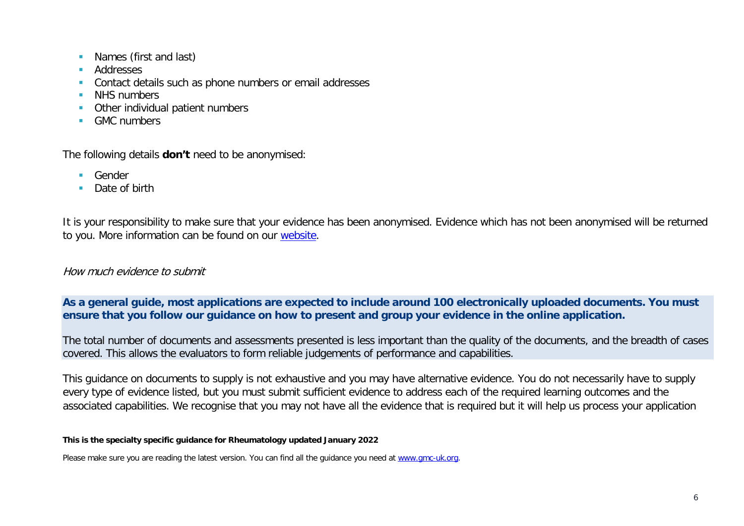- **Names (first and last)**
- **Addresses**
- **Contact details such as phone numbers or email addresses**
- **NHS numbers**
- **Other individual patient numbers**
- **GMC** numbers

The following details **don't** need to be anonymised:

- **Gender**
- Date of birth

It is your responsibility to make sure that your evidence has been anonymised. Evidence which has not been anonymised will be returned to you. More information can be found on our [website.](https://www.gmc-uk.org/registration-and-licensing/join-the-register/registration-applications/cesr-cegpr-application-process/anonymisation)

#### How much evidence to submit

**As a general guide, most applications are expected to include around 100 electronically uploaded documents. You must ensure that you follow our guidance on how to present and group your evidence in the online application.**

The total number of documents and assessments presented is less important than the quality of the documents, and the breadth of cases covered. This allows the evaluators to form reliable judgements of performance and capabilities.

This guidance on documents to supply is not exhaustive and you may have alternative evidence. You do not necessarily have to supply every type of evidence listed, but you must submit sufficient evidence to address each of the required learning outcomes and the associated capabilities. We recognise that you may not have all the evidence that is required but it will help us process your application

#### **This is the specialty specific guidance for Rheumatology updated January 2022**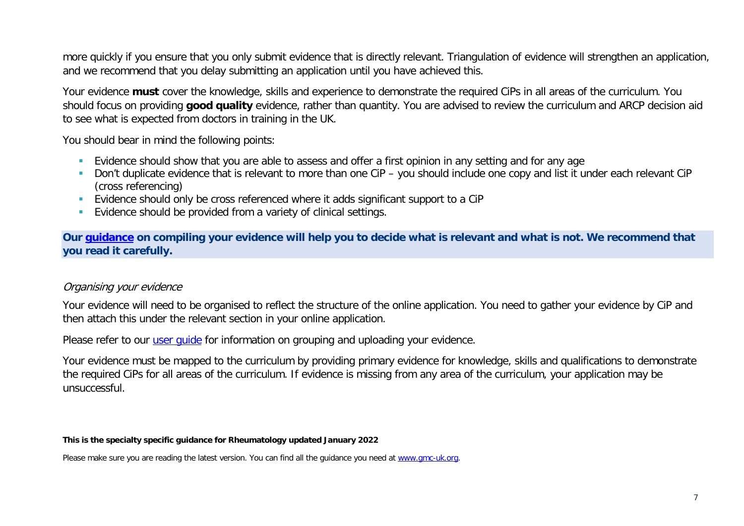more quickly if you ensure that you only submit evidence that is directly relevant. Triangulation of evidence will strengthen an application, and we recommend that you delay submitting an application until you have achieved this.

Your evidence **must** cover the knowledge, skills and experience to demonstrate the required CiPs in all areas of the curriculum. You should focus on providing **good quality** evidence, rather than quantity. You are advised to review the curriculum and ARCP decision aid to see what is expected from doctors in training in the UK.

You should bear in mind the following points:

- **Evidence should show that you are able to assess and offer a first opinion in any setting and for any age**
- Don't duplicate evidence that is relevant to more than one CiP you should include one copy and list it under each relevant CiP (cross referencing)
- Evidence should only be cross referenced where it adds significant support to a CiP
- **Evidence should be provided from a variety of clinical settings.**

**Our [guidance](https://www.gmc-uk.org/-/media/documents/sat---cesr-cegpr-online-application---user-guide---dc11550_pdf-76194730.pdf) on compiling your evidence will help you to decide what is relevant and what is not. We recommend that you read it carefully.**

#### Organising your evidence

Your evidence will need to be organised to reflect the structure of the online application. You need to gather your evidence by CiP and then attach this under the relevant section in your online application.

Please refer to our user quide for information on grouping and uploading your evidence.

Your evidence must be mapped to the curriculum by providing primary evidence for knowledge, skills and qualifications to demonstrate the required CiPs for all areas of the curriculum. If evidence is missing from any area of the curriculum, your application may be unsuccessful.

#### **This is the specialty specific guidance for Rheumatology updated January 2022**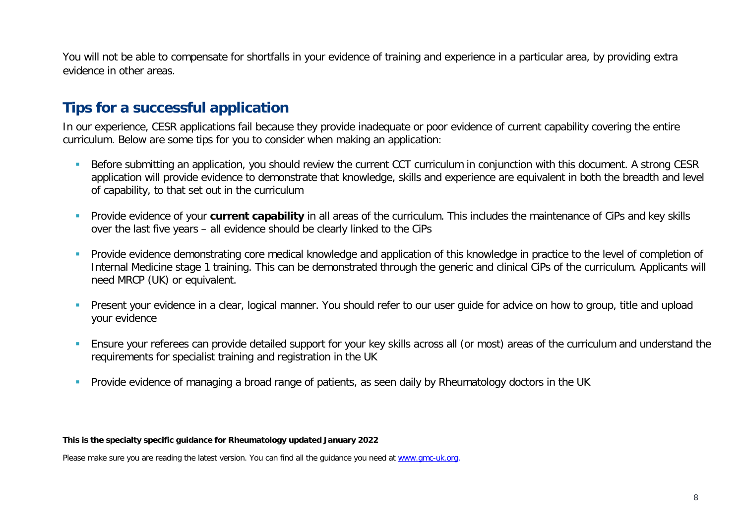You will not be able to compensate for shortfalls in your evidence of training and experience in a particular area, by providing extra evidence in other areas.

# **Tips for a successful application**

In our experience, CESR applications fail because they provide inadequate or poor evidence of current capability covering the entire curriculum. Below are some tips for you to consider when making an application:

- Before submitting an application, you should review the current CCT curriculum in conjunction with this document. A strong CESR application will provide evidence to demonstrate that knowledge, skills and experience are equivalent in both the breadth and level of capability, to that set out in the curriculum
- **Provide evidence of your current capability** in all areas of the curriculum. This includes the maintenance of CiPs and key skills over the last five years – all evidence should be clearly linked to the CiPs
- Provide evidence demonstrating core medical knowledge and application of this knowledge in practice to the level of completion of Internal Medicine stage 1 training. This can be demonstrated through the generic and clinical CiPs of the curriculum. Applicants will need MRCP (UK) or equivalent.
- **Present your evidence in a clear, logical manner. You should refer to our user quide for advice on how to group, title and upload** your evidence
- Ensure your referees can provide detailed support for your key skills across all (or most) areas of the curriculum and understand the requirements for specialist training and registration in the UK
- Provide evidence of managing a broad range of patients, as seen daily by Rheumatology doctors in the UK

#### **This is the specialty specific guidance for Rheumatology updated January 2022**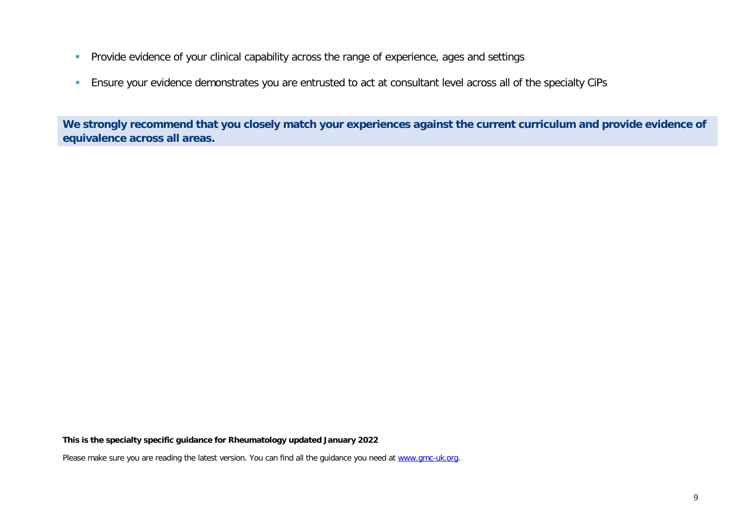- **Provide evidence of your clinical capability across the range of experience, ages and settings**
- **Ensure your evidence demonstrates you are entrusted to act at consultant level across all of the specialty CiPs**

**We strongly recommend that you closely match your experiences against the current curriculum and provide evidence of equivalence across all areas.** 

**This is the specialty specific guidance for Rheumatology updated January 2022**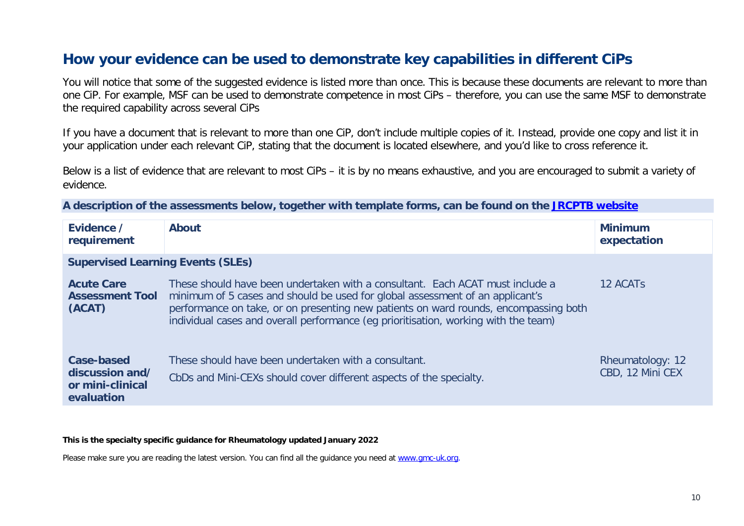# **How your evidence can be used to demonstrate key capabilities in different CiPs**

You will notice that some of the suggested evidence is listed more than once. This is because these documents are relevant to more than one CiP. For example, MSF can be used to demonstrate competence in most CiPs – therefore, you can use the same MSF to demonstrate the required capability across several CiPs

If you have a document that is relevant to more than one CiP, don't include multiple copies of it. Instead, provide one copy and list it in your application under each relevant CiP, stating that the document is located elsewhere, and you'd like to cross reference it.

Below is a list of evidence that are relevant to most CiPs – it is by no means exhaustive, and you are encouraged to submit a variety of evidence.

**A description of the assessments below, together with template forms, can be found on the [JRCPTB website](https://www.jrcptb.org.uk/assessment/workplace-based-assessment)**

| Evidence /<br>requirement                                       | <b>About</b>                                                                                                                                                                                                                                                                                                                                  | <b>Minimum</b><br>expectation        |
|-----------------------------------------------------------------|-----------------------------------------------------------------------------------------------------------------------------------------------------------------------------------------------------------------------------------------------------------------------------------------------------------------------------------------------|--------------------------------------|
| <b>Supervised Learning Events (SLEs)</b>                        |                                                                                                                                                                                                                                                                                                                                               |                                      |
| <b>Acute Care</b><br><b>Assessment Tool</b><br>(ACAT)           | These should have been undertaken with a consultant. Each ACAT must include a<br>minimum of 5 cases and should be used for global assessment of an applicant's<br>performance on take, or on presenting new patients on ward rounds, encompassing both<br>individual cases and overall performance (eg prioritisation, working with the team) | 12 ACAT <sub>S</sub>                 |
| Case-based<br>discussion and/<br>or mini-clinical<br>evaluation | These should have been undertaken with a consultant.<br>CbDs and Mini-CEXs should cover different aspects of the specialty.                                                                                                                                                                                                                   | Rheumatology: 12<br>CBD, 12 Mini CEX |

**This is the specialty specific guidance for Rheumatology updated January 2022**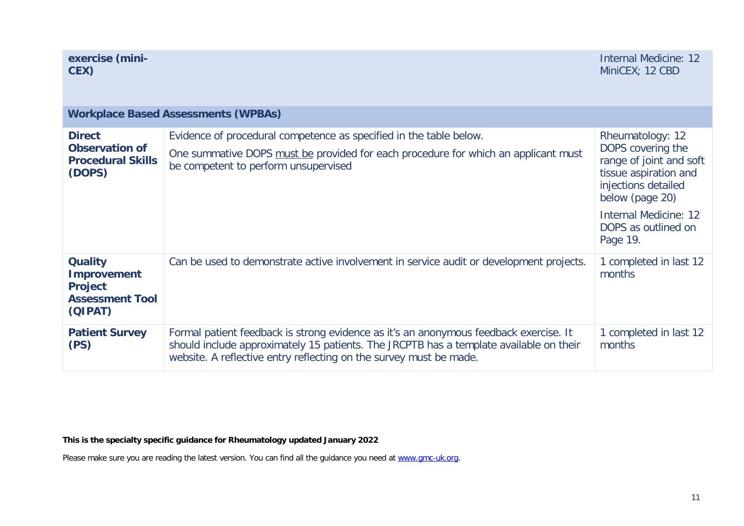| exercise (mini-<br>CEX)                                                                     |                                                                                                                                                                                                                                                       | <b>Internal Medicine: 12</b><br>MiniCEX; 12 CBD                                                                                                                                                        |
|---------------------------------------------------------------------------------------------|-------------------------------------------------------------------------------------------------------------------------------------------------------------------------------------------------------------------------------------------------------|--------------------------------------------------------------------------------------------------------------------------------------------------------------------------------------------------------|
|                                                                                             | <b>Workplace Based Assessments (WPBAs)</b>                                                                                                                                                                                                            |                                                                                                                                                                                                        |
| <b>Direct</b><br><b>Observation of</b><br><b>Procedural Skills</b><br>(DOPS)                | Evidence of procedural competence as specified in the table below.<br>One summative DOPS must be provided for each procedure for which an applicant must<br>be competent to perform unsupervised                                                      | Rheumatology: 12<br>DOPS covering the<br>range of joint and soft<br>tissue aspiration and<br>injections detailed<br>below (page 20)<br><b>Internal Medicine: 12</b><br>DOPS as outlined on<br>Page 19. |
| <b>Quality</b><br><b>Improvement</b><br><b>Project</b><br><b>Assessment Tool</b><br>(QIPAT) | Can be used to demonstrate active involvement in service audit or development projects.                                                                                                                                                               | 1 completed in last 12<br>months                                                                                                                                                                       |
| <b>Patient Survey</b><br>(PS)                                                               | Formal patient feedback is strong evidence as it's an anonymous feedback exercise. It<br>should include approximately 15 patients. The JRCPTB has a template available on their<br>website. A reflective entry reflecting on the survey must be made. | 1 completed in last 12<br>months                                                                                                                                                                       |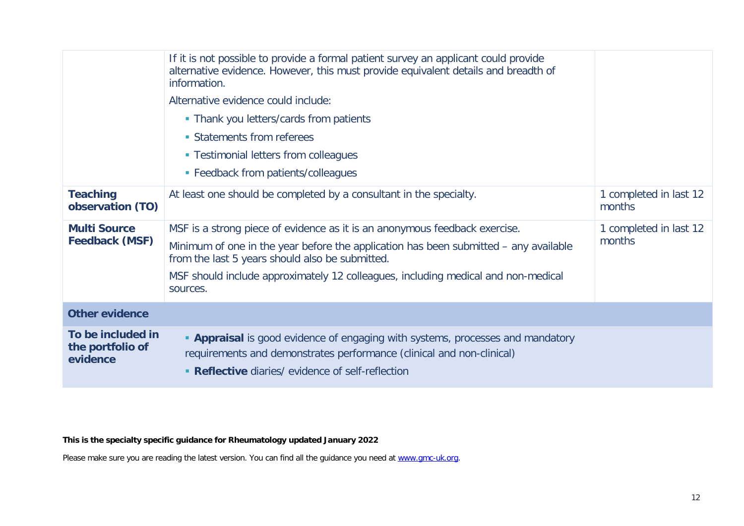|                                                   | If it is not possible to provide a formal patient survey an applicant could provide<br>alternative evidence. However, this must provide equivalent details and breadth of<br>information.                                                                                                                              |                                  |
|---------------------------------------------------|------------------------------------------------------------------------------------------------------------------------------------------------------------------------------------------------------------------------------------------------------------------------------------------------------------------------|----------------------------------|
|                                                   | Alternative evidence could include:                                                                                                                                                                                                                                                                                    |                                  |
|                                                   | • Thank you letters/cards from patients                                                                                                                                                                                                                                                                                |                                  |
|                                                   | • Statements from referees                                                                                                                                                                                                                                                                                             |                                  |
|                                                   | • Testimonial letters from colleagues                                                                                                                                                                                                                                                                                  |                                  |
|                                                   | • Feedback from patients/colleagues                                                                                                                                                                                                                                                                                    |                                  |
| <b>Teaching</b><br>observation (TO)               | At least one should be completed by a consultant in the specialty.                                                                                                                                                                                                                                                     | 1 completed in last 12<br>months |
| <b>Multi Source</b><br><b>Feedback (MSF)</b>      | MSF is a strong piece of evidence as it is an anonymous feedback exercise.<br>Minimum of one in the year before the application has been submitted – any available<br>from the last 5 years should also be submitted.<br>MSF should include approximately 12 colleagues, including medical and non-medical<br>sources. | 1 completed in last 12<br>months |
| <b>Other evidence</b>                             |                                                                                                                                                                                                                                                                                                                        |                                  |
| To be included in<br>the portfolio of<br>evidence | <b>- Appraisal</b> is good evidence of engaging with systems, processes and mandatory<br>requirements and demonstrates performance (clinical and non-clinical)<br>• Reflective diaries/ evidence of self-reflection                                                                                                    |                                  |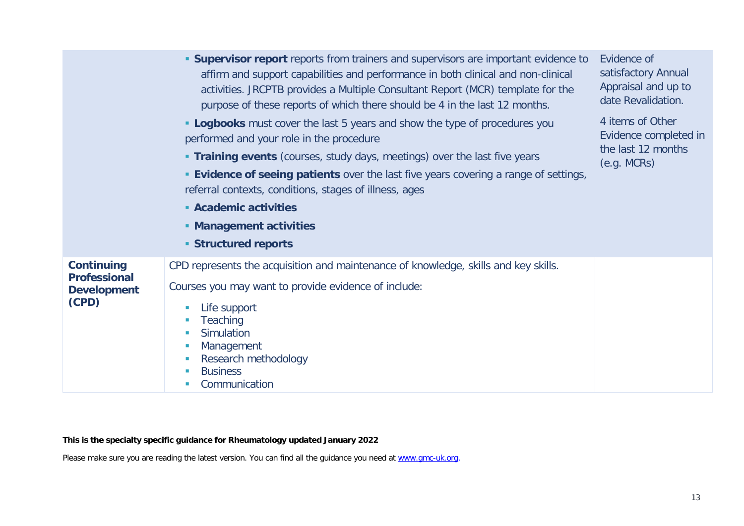|                                                                         | <b>Supervisor report</b> reports from trainers and supervisors are important evidence to<br>affirm and support capabilities and performance in both clinical and non-clinical<br>activities. JRCPTB provides a Multiple Consultant Report (MCR) template for the<br>purpose of these reports of which there should be 4 in the last 12 months.<br><b>- Logbooks</b> must cover the last 5 years and show the type of procedures you<br>performed and your role in the procedure<br><b>Training events</b> (courses, study days, meetings) over the last five years<br><b>Evidence of seeing patients</b> over the last five years covering a range of settings,<br>referral contexts, conditions, stages of illness, ages<br>• Academic activities<br>• Management activities<br><b>Structured reports</b> | Evidence of<br>satisfactory Annual<br>Appraisal and up to<br>date Revalidation.<br>4 items of Other<br>Evidence completed in<br>the last 12 months<br>(e.g. MCRs) |
|-------------------------------------------------------------------------|------------------------------------------------------------------------------------------------------------------------------------------------------------------------------------------------------------------------------------------------------------------------------------------------------------------------------------------------------------------------------------------------------------------------------------------------------------------------------------------------------------------------------------------------------------------------------------------------------------------------------------------------------------------------------------------------------------------------------------------------------------------------------------------------------------|-------------------------------------------------------------------------------------------------------------------------------------------------------------------|
| <b>Continuing</b><br><b>Professional</b><br><b>Development</b><br>(CPD) | CPD represents the acquisition and maintenance of knowledge, skills and key skills.<br>Courses you may want to provide evidence of include:<br>Life support<br>Teaching<br>Simulation<br>Management<br>Research methodology<br><b>Business</b><br>Communication                                                                                                                                                                                                                                                                                                                                                                                                                                                                                                                                            |                                                                                                                                                                   |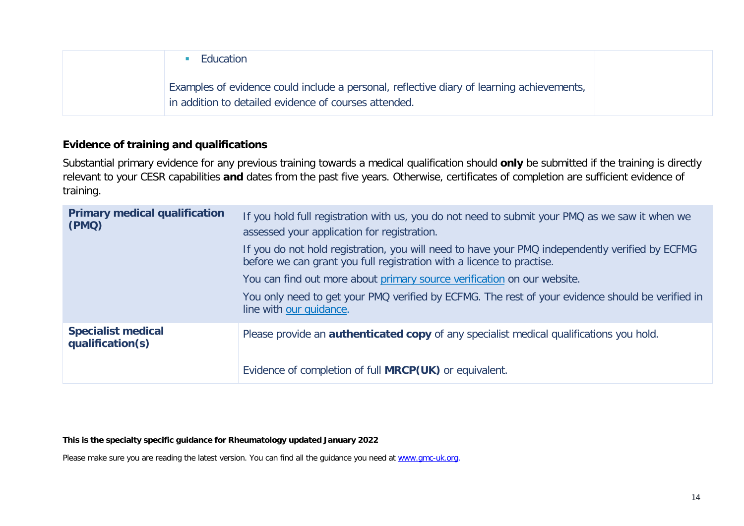| Education                                                                                                                                          |
|----------------------------------------------------------------------------------------------------------------------------------------------------|
| Examples of evidence could include a personal, reflective diary of learning achievements,<br>in addition to detailed evidence of courses attended. |

### **Evidence of training and qualifications**

Substantial primary evidence for any previous training towards a medical qualification should **only** be submitted if the training is directly relevant to your CESR capabilities **and** dates from the past five years. Otherwise, certificates of completion are sufficient evidence of training.

| <b>Primary medical qualification</b><br>(PMQ) | If you hold full registration with us, you do not need to submit your PMQ as we saw it when we<br>assessed your application for registration.                            |
|-----------------------------------------------|--------------------------------------------------------------------------------------------------------------------------------------------------------------------------|
|                                               | If you do not hold registration, you will need to have your PMQ independently verified by ECFMG<br>before we can grant you full registration with a licence to practise. |
|                                               | You can find out more about primary source verification on our website.                                                                                                  |
|                                               | You only need to get your PMQ verified by ECFMG. The rest of your evidence should be verified in<br>line with our quidance.                                              |
| <b>Specialist medical</b><br>qualification(s) | Please provide an <b>authenticated copy</b> of any specialist medical qualifications you hold.                                                                           |
|                                               | Evidence of completion of full <b>MRCP(UK)</b> or equivalent.                                                                                                            |

**This is the specialty specific guidance for Rheumatology updated January 2022**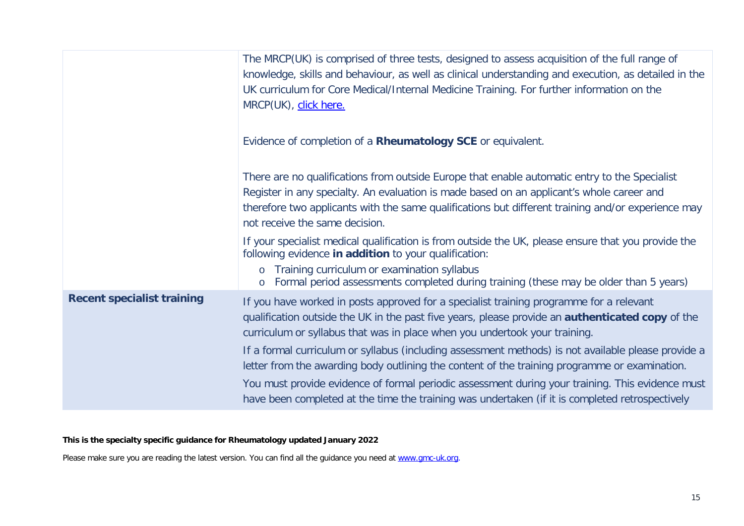|                                   | The MRCP(UK) is comprised of three tests, designed to assess acquisition of the full range of<br>knowledge, skills and behaviour, as well as clinical understanding and execution, as detailed in the<br>UK curriculum for Core Medical/Internal Medicine Training. For further information on the<br>MRCP(UK), click here.                                                                                 |
|-----------------------------------|-------------------------------------------------------------------------------------------------------------------------------------------------------------------------------------------------------------------------------------------------------------------------------------------------------------------------------------------------------------------------------------------------------------|
|                                   | Evidence of completion of a Rheumatology SCE or equivalent.                                                                                                                                                                                                                                                                                                                                                 |
|                                   | There are no qualifications from outside Europe that enable automatic entry to the Specialist<br>Register in any specialty. An evaluation is made based on an applicant's whole career and<br>therefore two applicants with the same qualifications but different training and/or experience may<br>not receive the same decision.                                                                          |
|                                   | If your specialist medical qualification is from outside the UK, please ensure that you provide the<br>following evidence in addition to your qualification:<br>o Training curriculum or examination syllabus<br>Formal period assessments completed during training (these may be older than 5 years)<br>$\circ$                                                                                           |
| <b>Recent specialist training</b> | If you have worked in posts approved for a specialist training programme for a relevant<br>qualification outside the UK in the past five years, please provide an <b>authenticated copy</b> of the<br>curriculum or syllabus that was in place when you undertook your training.                                                                                                                            |
|                                   | If a formal curriculum or syllabus (including assessment methods) is not available please provide a<br>letter from the awarding body outlining the content of the training programme or examination.<br>You must provide evidence of formal periodic assessment during your training. This evidence must<br>have been completed at the time the training was undertaken (if it is completed retrospectively |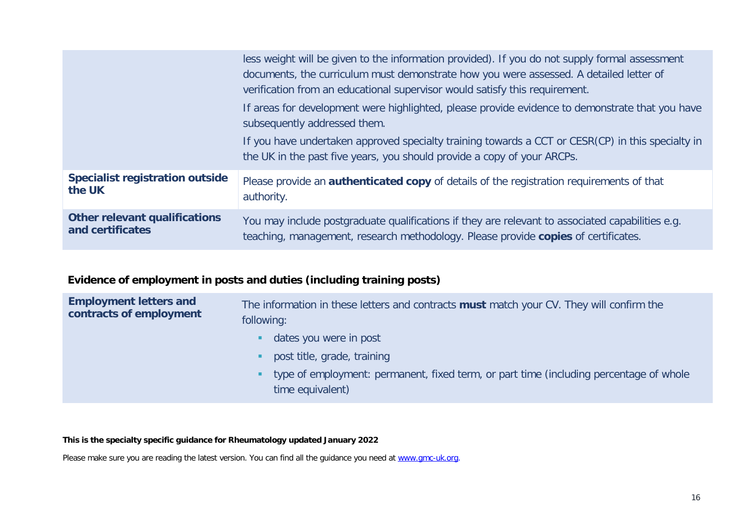|                                        | less weight will be given to the information provided). If you do not supply formal assessment<br>documents, the curriculum must demonstrate how you were assessed. A detailed letter of<br>verification from an educational supervisor would satisfy this requirement.<br>If areas for development were highlighted, please provide evidence to demonstrate that you have<br>subsequently addressed them. |
|----------------------------------------|------------------------------------------------------------------------------------------------------------------------------------------------------------------------------------------------------------------------------------------------------------------------------------------------------------------------------------------------------------------------------------------------------------|
|                                        | If you have undertaken approved specialty training towards a CCT or CESR(CP) in this specialty in<br>the UK in the past five years, you should provide a copy of your ARCPs.                                                                                                                                                                                                                               |
| <b>Specialist registration outside</b> | Please provide an <b>authenticated copy</b> of details of the registration requirements of that                                                                                                                                                                                                                                                                                                            |
| the UK                                 | authority.                                                                                                                                                                                                                                                                                                                                                                                                 |
| <b>Other relevant qualifications</b>   | You may include postgraduate qualifications if they are relevant to associated capabilities e.g.                                                                                                                                                                                                                                                                                                           |
| and certificates                       | teaching, management, research methodology. Please provide copies of certificates.                                                                                                                                                                                                                                                                                                                         |

# **Evidence of employment in posts and duties (including training posts)**

| <b>Employment letters and</b><br>contracts of employment | The information in these letters and contracts must match your CV. They will confirm the<br>following:     |  |
|----------------------------------------------------------|------------------------------------------------------------------------------------------------------------|--|
|                                                          | dates you were in post<br>п.                                                                               |  |
|                                                          | post title, grade, training                                                                                |  |
|                                                          | type of employment: permanent, fixed term, or part time (including percentage of whole<br>time equivalent) |  |

#### **This is the specialty specific guidance for Rheumatology updated January 2022**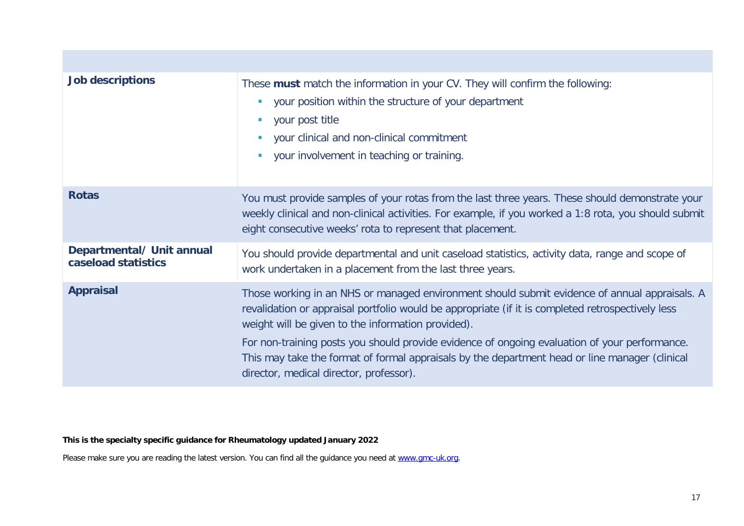| <b>Job descriptions</b>                          | These must match the information in your CV. They will confirm the following:<br>your position within the structure of your department<br><b>College</b><br>your post title<br><b>In</b><br>your clinical and non-clinical commitment<br><b>I</b><br>your involvement in teaching or training.<br>×                                                                                                                                                                                                    |
|--------------------------------------------------|--------------------------------------------------------------------------------------------------------------------------------------------------------------------------------------------------------------------------------------------------------------------------------------------------------------------------------------------------------------------------------------------------------------------------------------------------------------------------------------------------------|
| <b>Rotas</b>                                     | You must provide samples of your rotas from the last three years. These should demonstrate your<br>weekly clinical and non-clinical activities. For example, if you worked a 1:8 rota, you should submit<br>eight consecutive weeks' rota to represent that placement.                                                                                                                                                                                                                                 |
| Departmental/ Unit annual<br>caseload statistics | You should provide departmental and unit caseload statistics, activity data, range and scope of<br>work undertaken in a placement from the last three years.                                                                                                                                                                                                                                                                                                                                           |
| <b>Appraisal</b>                                 | Those working in an NHS or managed environment should submit evidence of annual appraisals. A<br>revalidation or appraisal portfolio would be appropriate (if it is completed retrospectively less<br>weight will be given to the information provided).<br>For non-training posts you should provide evidence of ongoing evaluation of your performance.<br>This may take the format of formal appraisals by the department head or line manager (clinical<br>director, medical director, professor). |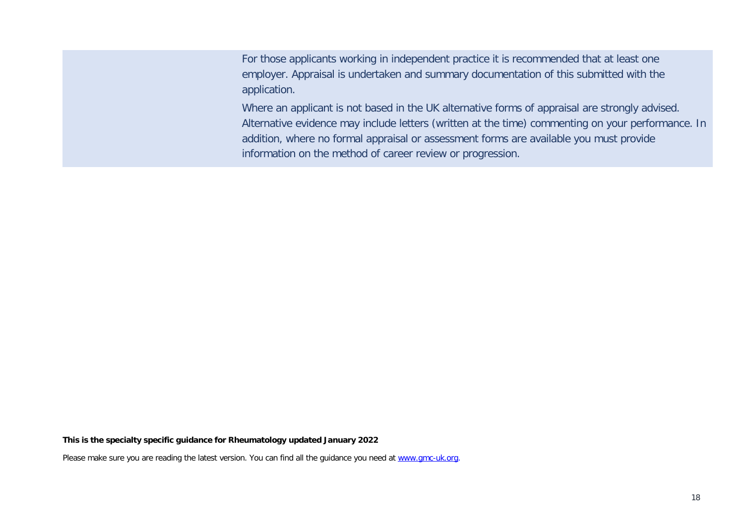For those applicants working in independent practice it is recommended that at least one employer. Appraisal is undertaken and summary documentation of this submitted with the application.

Where an applicant is not based in the UK alternative forms of appraisal are strongly advised. Alternative evidence may include letters (written at the time) commenting on your performance. In addition, where no formal appraisal or assessment forms are available you must provide information on the method of career review or progression.

#### **This is the specialty specific guidance for Rheumatology updated January 2022**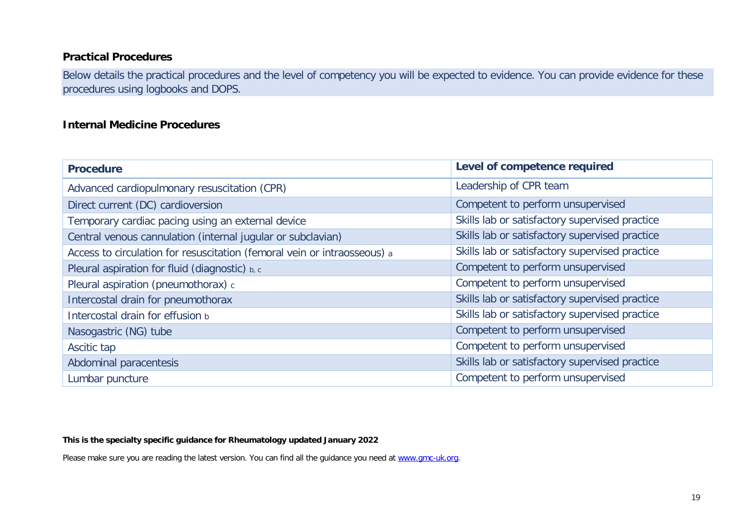### **Practical Procedures**

Below details the practical procedures and the level of competency you will be expected to evidence. You can provide evidence for these procedures using logbooks and DOPS.

#### **Internal Medicine Procedures**

| <b>Procedure</b>                                                         | Level of competence required                   |
|--------------------------------------------------------------------------|------------------------------------------------|
| Advanced cardiopulmonary resuscitation (CPR)                             | Leadership of CPR team                         |
| Direct current (DC) cardioversion                                        | Competent to perform unsupervised              |
| Temporary cardiac pacing using an external device                        | Skills lab or satisfactory supervised practice |
| Central venous cannulation (internal jugular or subclavian)              | Skills lab or satisfactory supervised practice |
| Access to circulation for resuscitation (femoral vein or intraosseous) a | Skills lab or satisfactory supervised practice |
| Pleural aspiration for fluid (diagnostic) b, c                           | Competent to perform unsupervised              |
| Pleural aspiration (pneumothorax) c                                      | Competent to perform unsupervised              |
| Intercostal drain for pneumothorax                                       | Skills lab or satisfactory supervised practice |
| Intercostal drain for effusion b                                         | Skills lab or satisfactory supervised practice |
| Nasogastric (NG) tube                                                    | Competent to perform unsupervised              |
| Ascitic tap                                                              | Competent to perform unsupervised              |
| Abdominal paracentesis                                                   | Skills lab or satisfactory supervised practice |
| Lumbar puncture                                                          | Competent to perform unsupervised              |

#### **This is the specialty specific guidance for Rheumatology updated January 2022**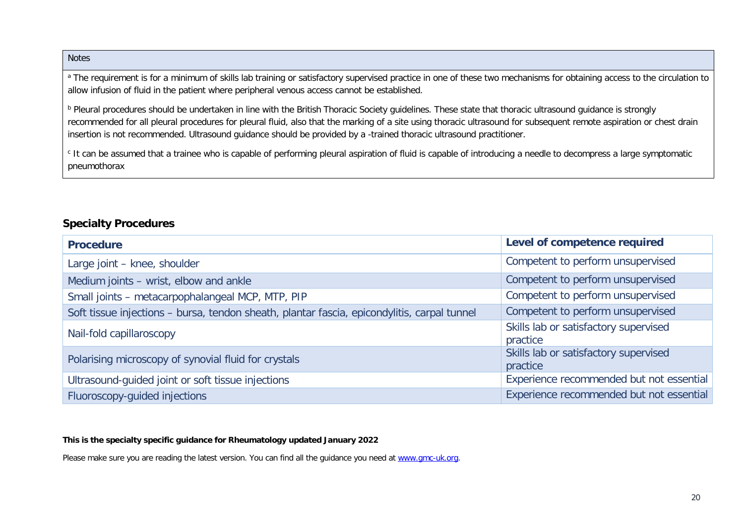#### Notes

<sup>a</sup> The requirement is for a minimum of skills lab training or satisfactory supervised practice in one of these two mechanisms for obtaining access to the circulation to allow infusion of fluid in the patient where peripheral venous access cannot be established.

<sup>b</sup> Pleural procedures should be undertaken in line with the British Thoracic Society guidelines. These state that thoracic ultrasound guidance is strongly recommended for all pleural procedures for pleural fluid, also that the marking of a site using thoracic ultrasound for subsequent remote aspiration or chest drain insertion is not recommended. Ultrasound guidance should be provided by a -trained thoracic ultrasound practitioner.

<sup>c</sup> It can be assumed that a trainee who is capable of performing pleural aspiration of fluid is capable of introducing a needle to decompress a large symptomatic pneumothorax

#### **Specialty Procedures**

| <b>Procedure</b>                                                                            | Level of competence required                      |
|---------------------------------------------------------------------------------------------|---------------------------------------------------|
| Large joint - knee, shoulder                                                                | Competent to perform unsupervised                 |
| Medium joints - wrist, elbow and ankle                                                      | Competent to perform unsupervised                 |
| Small joints - metacarpophalangeal MCP, MTP, PIP                                            | Competent to perform unsupervised                 |
| Soft tissue injections - bursa, tendon sheath, plantar fascia, epicondylitis, carpal tunnel | Competent to perform unsupervised                 |
| Nail-fold capillaroscopy                                                                    | Skills lab or satisfactory supervised<br>practice |
| Polarising microscopy of synovial fluid for crystals                                        | Skills lab or satisfactory supervised<br>practice |
| Ultrasound-guided joint or soft tissue injections                                           | Experience recommended but not essential          |
| Fluoroscopy-guided injections                                                               | Experience recommended but not essential          |

#### **This is the specialty specific guidance for Rheumatology updated January 2022**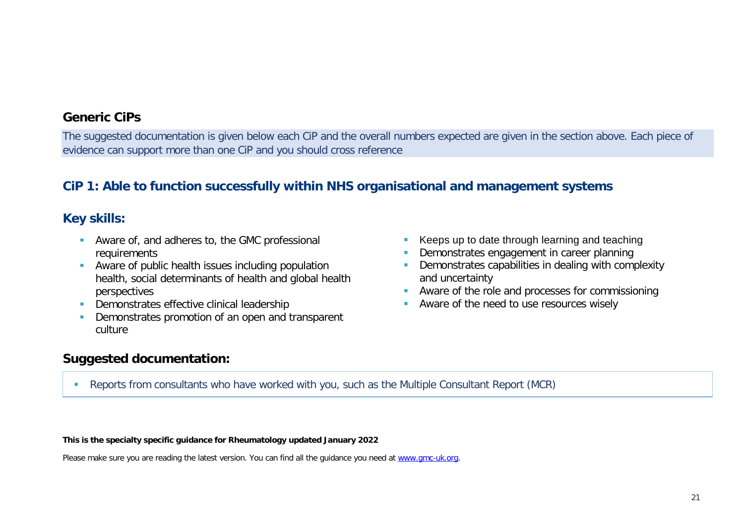### **Generic CiPs**

The suggested documentation is given below each CiP and the overall numbers expected are given in the section above. Each piece of evidence can support more than one CiP and you should cross reference

## **CiP 1: Able to function successfully within NHS organisational and management systems**

## **Key skills:**

- Aware of, and adheres to, the GMC professional requirements
- Aware of public health issues including population health, social determinants of health and global health perspectives
- Demonstrates effective clinical leadership
- Demonstrates promotion of an open and transparent culture
- Keeps up to date through learning and teaching
- Demonstrates engagement in career planning
- **Demonstrates capabilities in dealing with complexity** and uncertainty
- **Aware of the role and processes for commissioning**
- **Aware of the need to use resources wisely**

## **Suggested documentation:**

Reports from consultants who have worked with you, such as the Multiple Consultant Report (MCR)

#### **This is the specialty specific guidance for Rheumatology updated January 2022**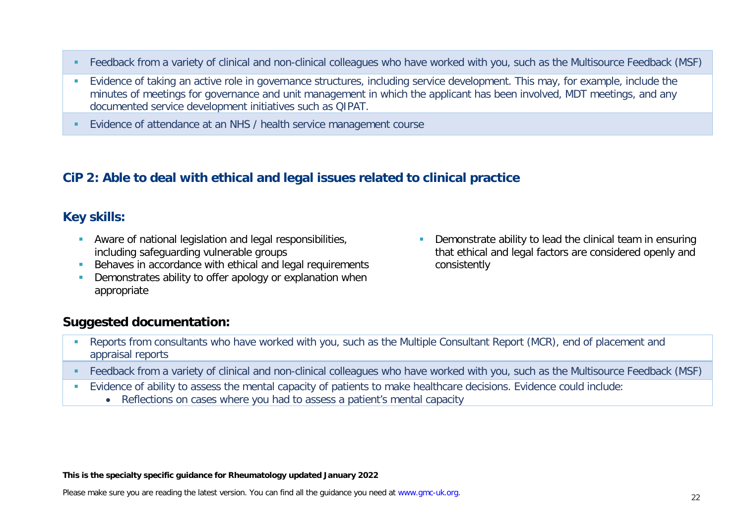- Feedback from a variety of clinical and non-clinical colleagues who have worked with you, such as the Multisource Feedback (MSF)
- Evidence of taking an active role in governance structures, including service development. This may, for example, include the minutes of meetings for governance and unit management in which the applicant has been involved, MDT meetings, and any documented service development initiatives such as QIPAT.
- Evidence of attendance at an NHS / health service management course

## **CiP 2: Able to deal with ethical and legal issues related to clinical practice**

## **Key skills:**

- Aware of national legislation and legal responsibilities, including safeguarding vulnerable groups
- Behaves in accordance with ethical and legal requirements
- **•** Demonstrates ability to offer apology or explanation when appropriate
- **Demonstrate ability to lead the clinical team in ensuring** that ethical and legal factors are considered openly and consistently

## **Suggested documentation:**

- Reports from consultants who have worked with you, such as the Multiple Consultant Report (MCR), end of placement and appraisal reports
- Feedback from a variety of clinical and non-clinical colleagues who have worked with you, such as the Multisource Feedback (MSF)
- Evidence of ability to assess the mental capacity of patients to make healthcare decisions. Evidence could include:
	- Reflections on cases where you had to assess a patient's mental capacity

#### **This is the specialty specific guidance for Rheumatology updated January 2022**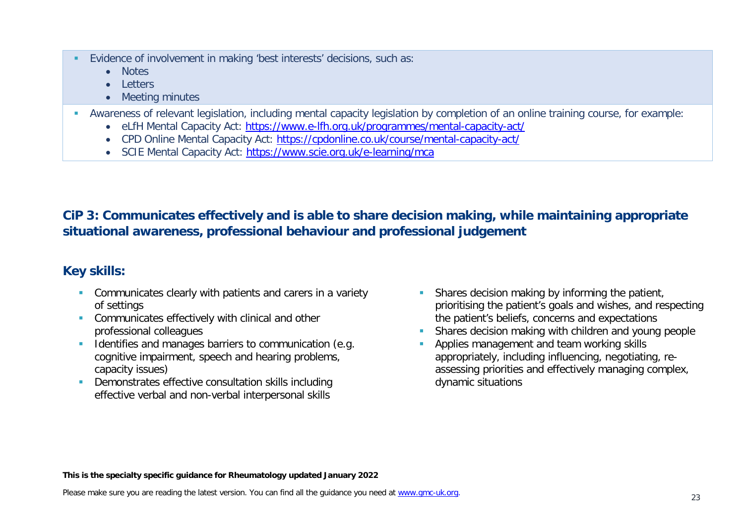- Evidence of involvement in making 'best interests' decisions, such as:
	- Notes
	- Letters
	- Meeting minutes
- Awareness of relevant legislation, including mental capacity legislation by completion of an online training course, for example:
	- eLfH Mental Capacity Act:<https://www.e-lfh.org.uk/programmes/mental-capacity-act/>
	- CPD Online Mental Capacity Act:<https://cpdonline.co.uk/course/mental-capacity-act/>
	- SCIE Mental Capacity Act:<https://www.scie.org.uk/e-learning/mca>

# **CiP 3: Communicates effectively and is able to share decision making, while maintaining appropriate situational awareness, professional behaviour and professional judgement**

# **Key skills:**

- **Communicates clearly with patients and carers in a variety** of settings
- **Communicates effectively with clinical and other** professional colleagues
- Identifies and manages barriers to communication (e.g. cognitive impairment, speech and hearing problems, capacity issues)
- Demonstrates effective consultation skills including effective verbal and non-verbal interpersonal skills
- **Shares decision making by informing the patient,** prioritising the patient's goals and wishes, and respecting the patient's beliefs, concerns and expectations
- Shares decision making with children and young people
- Applies management and team working skills appropriately, including influencing, negotiating, reassessing priorities and effectively managing complex, dynamic situations

**This is the specialty specific guidance for Rheumatology updated January 2022**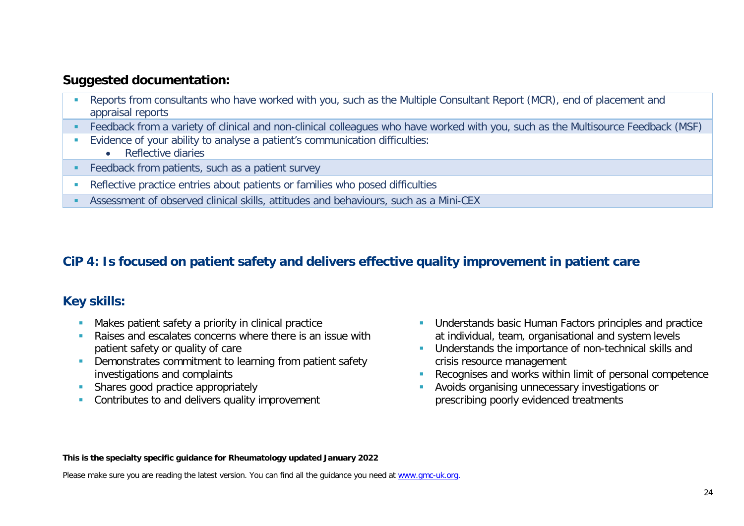- Reports from consultants who have worked with you, such as the Multiple Consultant Report (MCR), end of placement and appraisal reports
- Feedback from a variety of clinical and non-clinical colleagues who have worked with you, such as the Multisource Feedback (MSF)
- Evidence of your ability to analyse a patient's communication difficulties:
	- Reflective diaries
- **Feedback from patients, such as a patient survey**
- Reflective practice entries about patients or families who posed difficulties
- Assessment of observed clinical skills, attitudes and behaviours, such as a Mini-CEX

# **CiP 4: Is focused on patient safety and delivers effective quality improvement in patient care**

## **Key skills:**

- **Makes patient safety a priority in clinical practice**
- **Raises and escalates concerns where there is an issue with** patient safety or quality of care
- **•** Demonstrates commitment to learning from patient safety investigations and complaints
- Shares good practice appropriately
- **Contributes to and delivers quality improvement**
- **Understands basic Human Factors principles and practice** at individual, team, organisational and system levels
- **Understands the importance of non-technical skills and** crisis resource management
- Recognises and works within limit of personal competence
- Avoids organising unnecessary investigations or prescribing poorly evidenced treatments

#### **This is the specialty specific guidance for Rheumatology updated January 2022**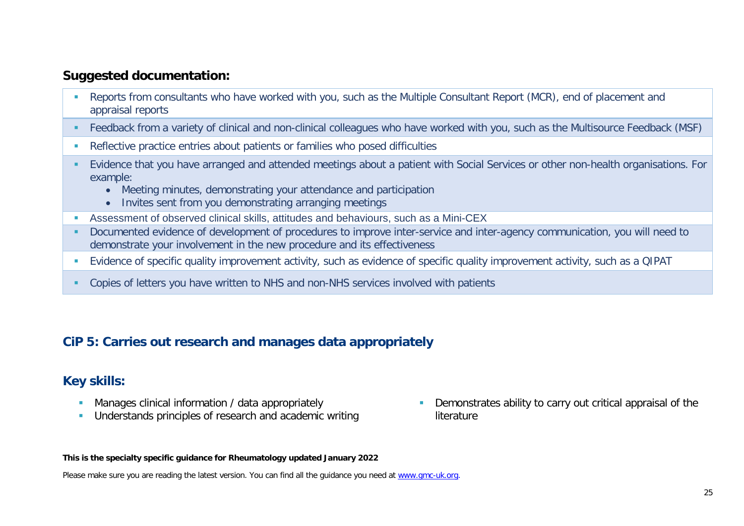- Reports from consultants who have worked with you, such as the Multiple Consultant Report (MCR), end of placement and appraisal reports
- Feedback from a variety of clinical and non-clinical colleagues who have worked with you, such as the Multisource Feedback (MSF)
- Reflective practice entries about patients or families who posed difficulties
- Evidence that you have arranged and attended meetings about a patient with Social Services or other non-health organisations. For example:
	- Meeting minutes, demonstrating your attendance and participation
	- Invites sent from you demonstrating arranging meetings
- Assessment of observed clinical skills, attitudes and behaviours, such as a Mini-CEX
- Documented evidence of development of procedures to improve inter-service and inter-agency communication, you will need to demonstrate your involvement in the new procedure and its effectiveness
- Evidence of specific quality improvement activity, such as evidence of specific quality improvement activity, such as a QIPAT
- Copies of letters you have written to NHS and non-NHS services involved with patients

## **CiP 5: Carries out research and manages data appropriately**

## **Key skills:**

- Manages clinical information / data appropriately
- Understands principles of research and academic writing

 Demonstrates ability to carry out critical appraisal of the **literature** 

#### **This is the specialty specific guidance for Rheumatology updated January 2022**

Please make sure you are reading the latest version. You can find all the guidance you need at [www.gmc-uk.org.](http://www.gmc-uk.org/)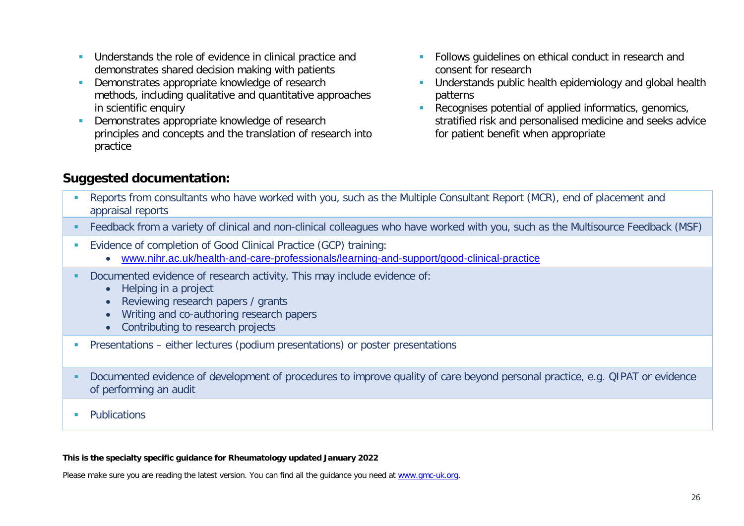- **Understands the role of evidence in clinical practice and** demonstrates shared decision making with patients
- Demonstrates appropriate knowledge of research methods, including qualitative and quantitative approaches in scientific enquiry
- Demonstrates appropriate knowledge of research principles and concepts and the translation of research into practice
- **Follows quidelines on ethical conduct in research and** consent for research
- **Understands public health epidemiology and global health** patterns
- Recognises potential of applied informatics, genomics, stratified risk and personalised medicine and seeks advice for patient benefit when appropriate

- Reports from consultants who have worked with you, such as the Multiple Consultant Report (MCR), end of placement and appraisal reports
- Feedback from a variety of clinical and non-clinical colleagues who have worked with you, such as the Multisource Feedback (MSF)
- Evidence of completion of Good Clinical Practice (GCP) training:
	- [www.nihr.ac.uk/health-and-care-professionals/learning-and-support/good-clinical-practice](https://www.nihr.ac.uk/health-and-care-professionals/learning-and-support/good-clinical-practice.htm)
- Documented evidence of research activity. This may include evidence of:
	- Helping in a project
	- Reviewing research papers / grants
	- Writing and co-authoring research papers
	- Contributing to research projects
- Presentations either lectures (podium presentations) or poster presentations
- Documented evidence of development of procedures to improve quality of care beyond personal practice, e.g. QIPAT or evidence of performing an audit
- **Publications**

#### **This is the specialty specific guidance for Rheumatology updated January 2022**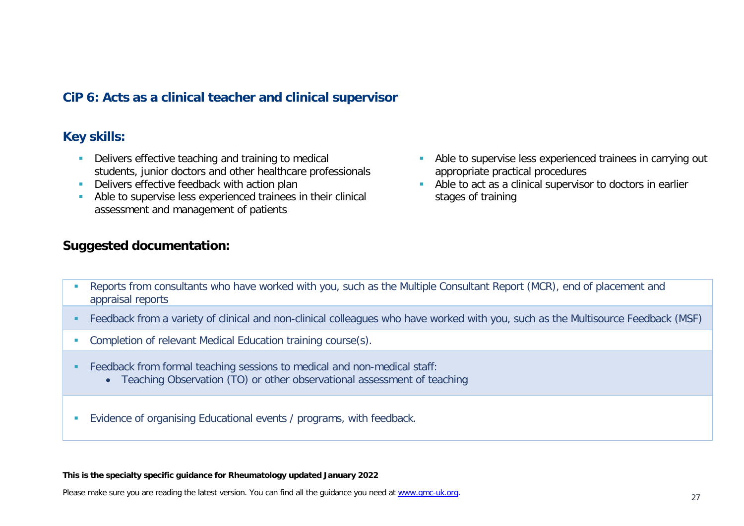### **CiP 6: Acts as a clinical teacher and clinical supervisor**

### **Key skills:**

- Delivers effective teaching and training to medical students, junior doctors and other healthcare professionals
- Delivers effective feedback with action plan
- Able to supervise less experienced trainees in their clinical assessment and management of patients

### **Suggested documentation:**

- Able to supervise less experienced trainees in carrying out appropriate practical procedures
- Able to act as a clinical supervisor to doctors in earlier stages of training

- Reports from consultants who have worked with you, such as the Multiple Consultant Report (MCR), end of placement and appraisal reports
- Feedback from a variety of clinical and non-clinical colleagues who have worked with you, such as the Multisource Feedback (MSF)
- **Completion of relevant Medical Education training course(s).**
- Feedback from formal teaching sessions to medical and non-medical staff:
	- Teaching Observation (TO) or other observational assessment of teaching
- Evidence of organising Educational events / programs, with feedback.

#### **This is the specialty specific guidance for Rheumatology updated January 2022**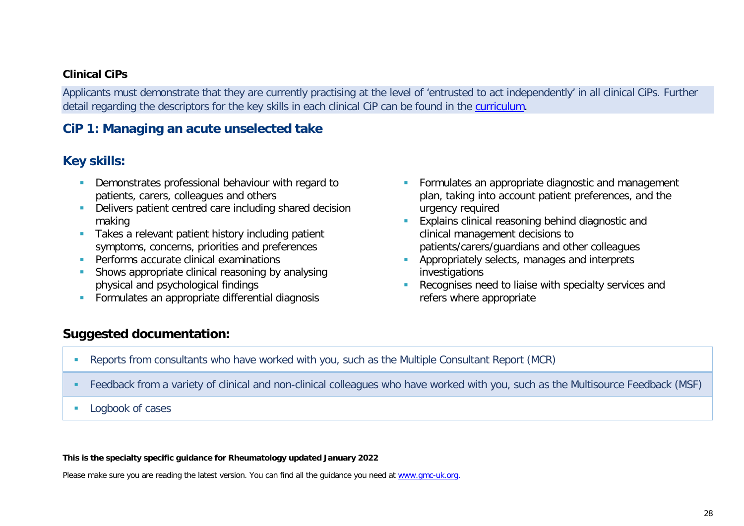#### **Clinical CiPs**

Applicants must demonstrate that they are currently practising at the level of 'entrusted to act independently' in all clinical CiPs. Further detail regarding the descriptors for the key skills in each clinical CiP can be found in the [curriculum.](https://www.gmc-uk.org/education/standards-guidance-and-curricula/curricula#T)

## **CiP 1: Managing an acute unselected take**

### **Key skills:**

- Demonstrates professional behaviour with regard to patients, carers, colleagues and others
- Delivers patient centred care including shared decision making
- **Takes a relevant patient history including patient** symptoms, concerns, priorities and preferences
- **Performs accurate clinical examinations**
- Shows appropriate clinical reasoning by analysing physical and psychological findings
- **Formulates an appropriate differential diagnosis**
- **Formulates an appropriate diagnostic and management** plan, taking into account patient preferences, and the urgency required
- **Explains clinical reasoning behind diagnostic and** clinical management decisions to patients/carers/guardians and other colleagues
- **Appropriately selects, manages and interprets** investigations
- Recognises need to liaise with specialty services and refers where appropriate

### **Suggested documentation:**

- Reports from consultants who have worked with you, such as the Multiple Consultant Report (MCR)
- Feedback from a variety of clinical and non-clinical colleagues who have worked with you, such as the Multisource Feedback (MSF)
- **Logbook of cases**

#### **This is the specialty specific guidance for Rheumatology updated January 2022**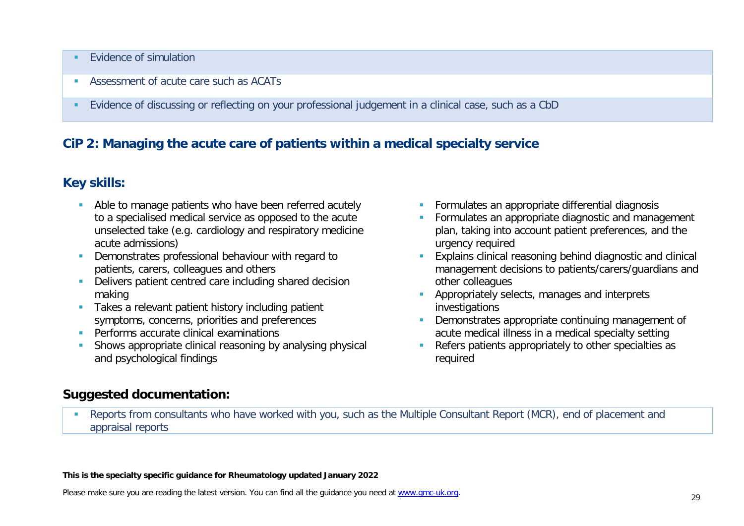- Evidence of simulation
- Assessment of acute care such as ACATs
- Evidence of discussing or reflecting on your professional judgement in a clinical case, such as a CbD

### **CiP 2: Managing the acute care of patients within a medical specialty service**

### **Key skills:**

- Able to manage patients who have been referred acutely to a specialised medical service as opposed to the acute unselected take (e.g. cardiology and respiratory medicine acute admissions)
- Demonstrates professional behaviour with regard to patients, carers, colleagues and others
- Delivers patient centred care including shared decision making
- **Takes a relevant patient history including patient** symptoms, concerns, priorities and preferences
- **Performs accurate clinical examinations**
- Shows appropriate clinical reasoning by analysing physical and psychological findings
- **Formulates an appropriate differential diagnosis**
- **Formulates an appropriate diagnostic and management** plan, taking into account patient preferences, and the urgency required
- **Explains clinical reasoning behind diagnostic and clinical** management decisions to patients/carers/guardians and other colleagues
- **Appropriately selects, manages and interprets** investigations
- Demonstrates appropriate continuing management of acute medical illness in a medical specialty setting
- Refers patients appropriately to other specialties as required

### **Suggested documentation:**

 Reports from consultants who have worked with you, such as the Multiple Consultant Report (MCR), end of placement and appraisal reports

#### **This is the specialty specific guidance for Rheumatology updated January 2022**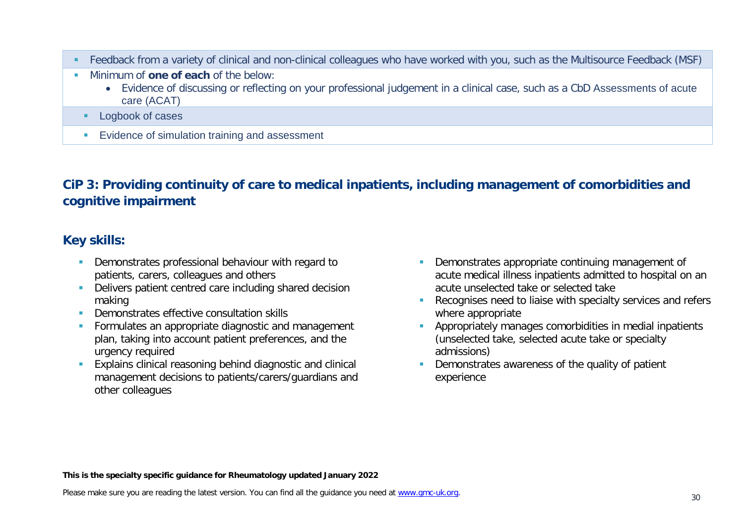- Feedback from a variety of clinical and non-clinical colleagues who have worked with you, such as the Multisource Feedback (MSF)
- **Minimum of one of each of the below:** 
	- Evidence of discussing or reflecting on your professional judgement in a clinical case, such as a CbD Assessments of acute care (ACAT)
	- **Logbook of cases**
	- **Evidence of simulation training and assessment**

# **CiP 3: Providing continuity of care to medical inpatients, including management of comorbidities and cognitive impairment**

# **Key skills:**

- **Demonstrates professional behaviour with regard to** patients, carers, colleagues and others
- Delivers patient centred care including shared decision making
- **Demonstrates effective consultation skills**
- **Formulates an appropriate diagnostic and management** plan, taking into account patient preferences, and the urgency required
- **Explains clinical reasoning behind diagnostic and clinical** management decisions to patients/carers/guardians and other colleagues
- Demonstrates appropriate continuing management of acute medical illness inpatients admitted to hospital on an acute unselected take or selected take
- Recognises need to liaise with specialty services and refers where appropriate
- **Appropriately manages comorbidities in medial inpatients** (unselected take, selected acute take or specialty admissions)
- Demonstrates awareness of the quality of patient experience

**This is the specialty specific guidance for Rheumatology updated January 2022**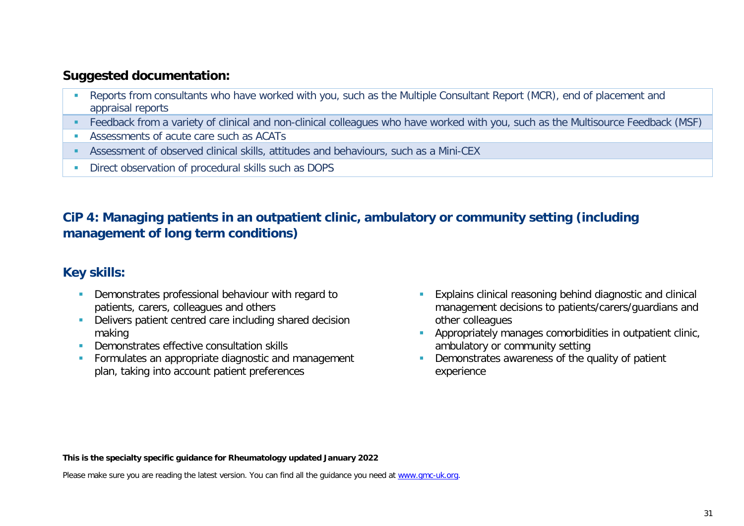- **Reports from consultants who have worked with you, such as the Multiple Consultant Report (MCR), end of placement and** appraisal reports
- Feedback from a variety of clinical and non-clinical colleagues who have worked with you, such as the Multisource Feedback (MSF)
- Assessments of acute care such as ACATs
- Assessment of observed clinical skills, attitudes and behaviours, such as a Mini-CEX
- **Direct observation of procedural skills such as DOPS**

# **CiP 4: Managing patients in an outpatient clinic, ambulatory or community setting (including management of long term conditions)**

# **Key skills:**

- **Demonstrates professional behaviour with regard to** patients, carers, colleagues and others
- Delivers patient centred care including shared decision making
- **Demonstrates effective consultation skills**
- **Formulates an appropriate diagnostic and management** plan, taking into account patient preferences
- Explains clinical reasoning behind diagnostic and clinical management decisions to patients/carers/guardians and other colleagues
- Appropriately manages comorbidities in outpatient clinic, ambulatory or community setting
- Demonstrates awareness of the quality of patient experience

**This is the specialty specific guidance for Rheumatology updated January 2022**

Please make sure you are reading the latest version. You can find all the guidance you need at [www.gmc-uk.org.](http://www.gmc-uk.org/)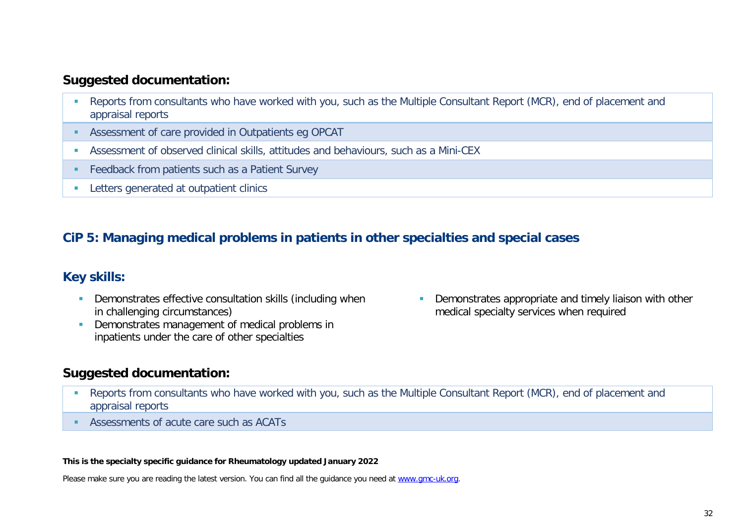- Reports from consultants who have worked with you, such as the Multiple Consultant Report (MCR), end of placement and appraisal reports
- Assessment of care provided in Outpatients eg OPCAT
- Assessment of observed clinical skills, attitudes and behaviours, such as a Mini-CEX
- **Feedback from patients such as a Patient Survey**
- **Letters generated at outpatient clinics**

## **CiP 5: Managing medical problems in patients in other specialties and special cases**

## **Key skills:**

- **-** Demonstrates effective consultation skills (including when in challenging circumstances)
- Demonstrates management of medical problems in inpatients under the care of other specialties

**Demonstrates appropriate and timely liaison with other** medical specialty services when required

## **Suggested documentation:**

- Reports from consultants who have worked with you, such as the Multiple Consultant Report (MCR), end of placement and appraisal reports
- Assessments of acute care such as ACATs

#### **This is the specialty specific guidance for Rheumatology updated January 2022**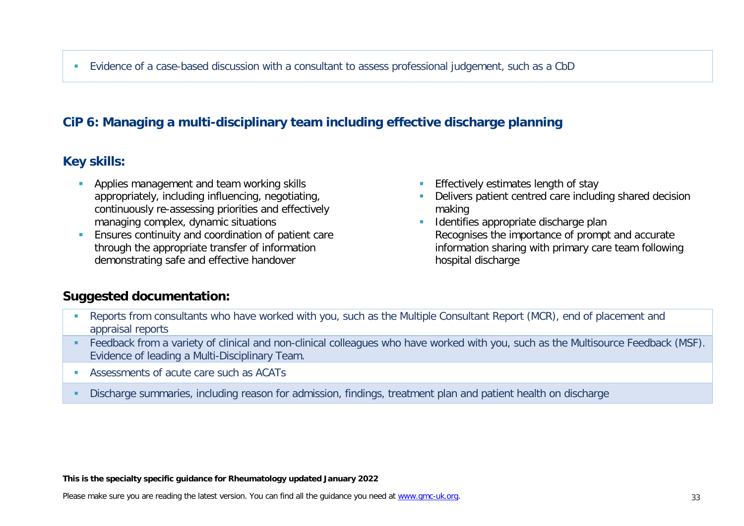# **CiP 6: Managing a multi-disciplinary team including effective discharge planning**

## **Key skills:**

- **Applies management and team working skills** appropriately, including influencing, negotiating, continuously re-assessing priorities and effectively managing complex, dynamic situations
- **Ensures continuity and coordination of patient care** through the appropriate transfer of information demonstrating safe and effective handover
- **Effectively estimates length of stay**
- Delivers patient centred care including shared decision making
- **IDED** Identifies appropriate discharge plan Recognises the importance of prompt and accurate information sharing with primary care team following hospital discharge

## **Suggested documentation:**

- **-** Reports from consultants who have worked with you, such as the Multiple Consultant Report (MCR), end of placement and appraisal reports
- Feedback from a variety of clinical and non-clinical colleagues who have worked with you, such as the Multisource Feedback (MSF). Evidence of leading a Multi-Disciplinary Team.
- **Assessments of acute care such as ACATs**
- Discharge summaries, including reason for admission, findings, treatment plan and patient health on discharge

**This is the specialty specific guidance for Rheumatology updated January 2022**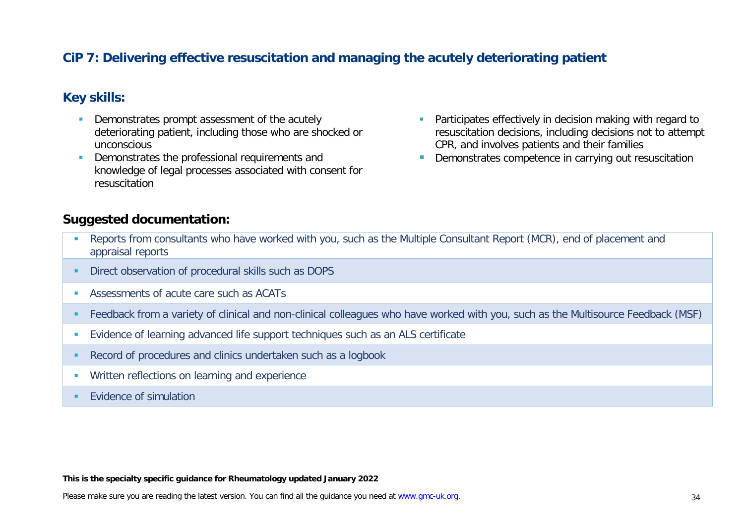## **CiP 7: Delivering effective resuscitation and managing the acutely deteriorating patient**

### **Key skills:**

- **Demonstrates prompt assessment of the acutely** deteriorating patient, including those who are shocked or unconscious
- Demonstrates the professional requirements and knowledge of legal processes associated with consent for resuscitation
- Participates effectively in decision making with regard to resuscitation decisions, including decisions not to attempt CPR, and involves patients and their families
- Demonstrates competence in carrying out resuscitation

### **Suggested documentation:**

- **Reports from consultants who have worked with you, such as the Multiple Consultant Report (MCR), end of placement and** appraisal reports
- **Direct observation of procedural skills such as DOPS**
- Assessments of acute care such as ACATs
- Feedback from a variety of clinical and non-clinical colleagues who have worked with you, such as the Multisource Feedback (MSF)
- Evidence of learning advanced life support techniques such as an ALS certificate
- Record of procedures and clinics undertaken such as a logbook
- **Written reflections on learning and experience**
- **EVidence of simulation**

#### **This is the specialty specific guidance for Rheumatology updated January 2022**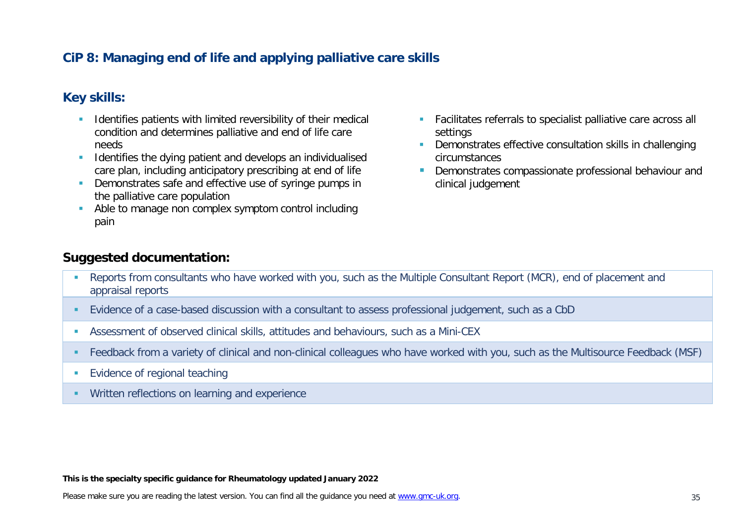## **CiP 8: Managing end of life and applying palliative care skills**

## **Key skills:**

- Identifies patients with limited reversibility of their medical condition and determines palliative and end of life care needs
- **IDENTIFIEM** Identifies the dying patient and develops an individualised care plan, including anticipatory prescribing at end of life
- **Demonstrates safe and effective use of syringe pumps in** the palliative care population
- Able to manage non complex symptom control including pain
- Facilitates referrals to specialist palliative care across all settings
- **Demonstrates effective consultation skills in challenging** circumstances
- **Demonstrates compassionate professional behaviour and** clinical judgement

### **Suggested documentation:**

- Reports from consultants who have worked with you, such as the Multiple Consultant Report (MCR), end of placement and appraisal reports
- Evidence of a case-based discussion with a consultant to assess professional judgement, such as a CbD
- Assessment of observed clinical skills, attitudes and behaviours, such as a Mini-CEX
- Feedback from a variety of clinical and non-clinical colleagues who have worked with you, such as the Multisource Feedback (MSF)
- **Evidence of regional teaching**
- **Written reflections on learning and experience**

#### **This is the specialty specific guidance for Rheumatology updated January 2022**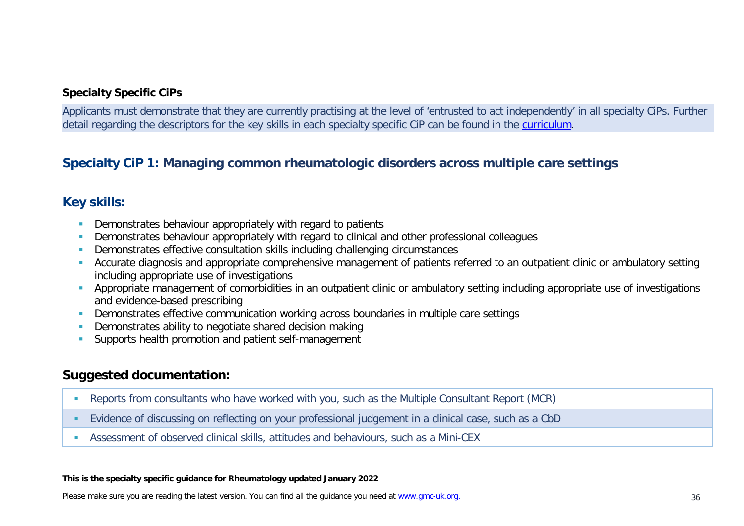#### **Specialty Specific CiPs**

Applicants must demonstrate that they are currently practising at the level of 'entrusted to act independently' in all specialty CiPs. Further detail regarding the descriptors for the key skills in each specialty specific CiP can be found in the [curriculum.](https://www.gmc-uk.org/education/standards-guidance-and-curricula/curricula#T)

## **Specialty CiP 1: Managing common rheumatologic disorders across multiple care settings**

### **Key skills:**

- **•** Demonstrates behaviour appropriately with regard to patients
- **-** Demonstrates behaviour appropriately with regard to clinical and other professional colleagues
- Demonstrates effective consultation skills including challenging circumstances
- Accurate diagnosis and appropriate comprehensive management of patients referred to an outpatient clinic or ambulatory setting including appropriate use of investigations
- **Appropriate management of comorbidities in an outpatient clinic or ambulatory setting including appropriate use of investigations** and evidence-based prescribing
- **-** Demonstrates effective communication working across boundaries in multiple care settings
- **Demonstrates ability to negotiate shared decision making**
- Supports health promotion and patient self-management

## **Suggested documentation:**

- Reports from consultants who have worked with you, such as the Multiple Consultant Report (MCR)
- Evidence of discussing on reflecting on your professional judgement in a clinical case, such as a CbD
- Assessment of observed clinical skills, attitudes and behaviours, such as a Mini-CEX

#### **This is the specialty specific guidance for Rheumatology updated January 2022**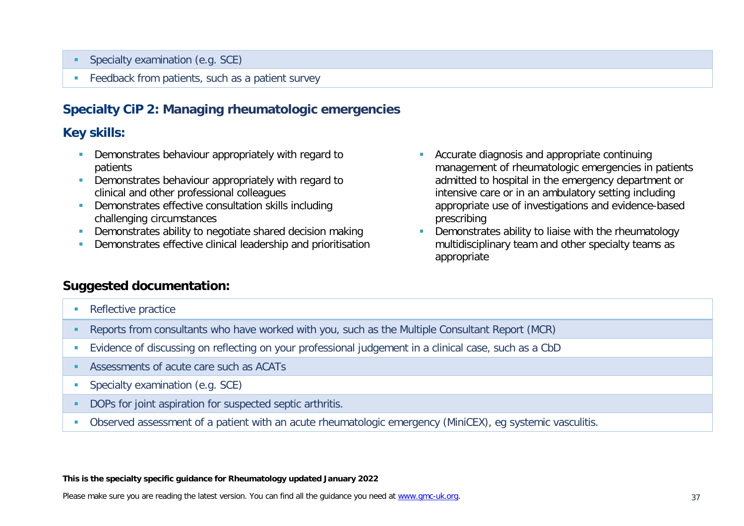- Specialty examination (e.g. SCE)
- **Feedback from patients, such as a patient survey**

## **Specialty CiP 2: Managing rheumatologic emergencies**

### **Key skills:**

- **Demonstrates behaviour appropriately with regard to** patients
- **Demonstrates behaviour appropriately with regard to** clinical and other professional colleagues
- **Demonstrates effective consultation skills including** challenging circumstances
- **Demonstrates ability to negotiate shared decision making**
- **Demonstrates effective clinical leadership and prioritisation**
- Accurate diagnosis and appropriate continuing management of rheumatologic emergencies in patients admitted to hospital in the emergency department or intensive care or in an ambulatory setting including appropriate use of investigations and evidence-based prescribing
- **•** Demonstrates ability to liaise with the rheumatology multidisciplinary team and other specialty teams as appropriate

### **Suggested documentation:**

- **Reflective practice**
- Reports from consultants who have worked with you, such as the Multiple Consultant Report (MCR)
- Evidence of discussing on reflecting on your professional judgement in a clinical case, such as a CbD
- Assessments of acute care such as ACATs
- **Specialty examination (e.g. SCE)**
- DOPs for joint aspiration for suspected septic arthritis.
- Observed assessment of a patient with an acute rheumatologic emergency (MiniCEX), eg systemic vasculitis.

#### **This is the specialty specific guidance for Rheumatology updated January 2022**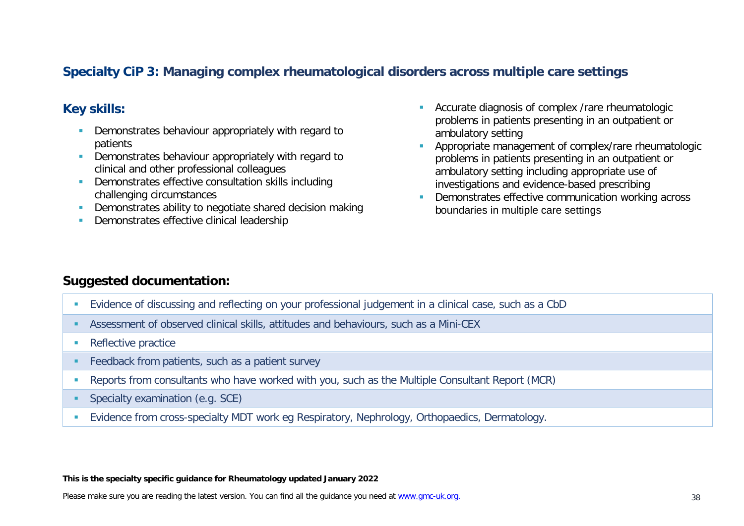## **Specialty CiP 3: Managing complex rheumatological disorders across multiple care settings**

## **Key skills:**

- **Demonstrates behaviour appropriately with regard to** patients
- Demonstrates behaviour appropriately with regard to clinical and other professional colleagues
- **Demonstrates effective consultation skills including** challenging circumstances
- **Demonstrates ability to negotiate shared decision making**
- **Demonstrates effective clinical leadership**
- **Accurate diagnosis of complex /rare rheumatologic** problems in patients presenting in an outpatient or ambulatory setting
- Appropriate management of complex/rare rheumatologic problems in patients presenting in an outpatient or ambulatory setting including appropriate use of investigations and evidence-based prescribing
- Demonstrates effective communication working across boundaries in multiple care settings

## **Suggested documentation:**

- Evidence of discussing and reflecting on your professional judgement in a clinical case, such as a CbD
- Assessment of observed clinical skills, attitudes and behaviours, such as a Mini-CEX
- Reflective practice
- **Feedback from patients, such as a patient survey**
- Reports from consultants who have worked with you, such as the Multiple Consultant Report (MCR)
- **Specialty examination (e.g. SCE)**
- **Evidence from cross-specialty MDT work eg Respiratory, Nephrology, Orthopaedics, Dermatology.**

#### **This is the specialty specific guidance for Rheumatology updated January 2022**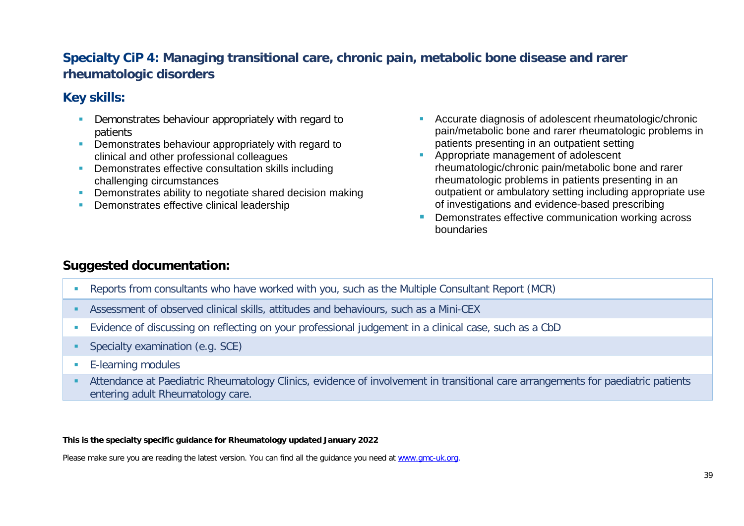# **Specialty CiP 4: Managing transitional care, chronic pain, metabolic bone disease and rarer rheumatologic disorders**

# **Key skills:**

- Demonstrates behaviour appropriately with regard to patients
- **•** Demonstrates behaviour appropriately with regard to clinical and other professional colleagues
- **Demonstrates effective consultation skills including** challenging circumstances
- **Demonstrates ability to negotiate shared decision making**
- **Demonstrates effective clinical leadership**
- **Accurate diagnosis of adolescent rheumatologic/chronic** pain/metabolic bone and rarer rheumatologic problems in patients presenting in an outpatient setting
- **Appropriate management of adolescent** rheumatologic/chronic pain/metabolic bone and rarer rheumatologic problems in patients presenting in an outpatient or ambulatory setting including appropriate use of investigations and evidence-based prescribing
- Demonstrates effective communication working across boundaries

## **Suggested documentation:**

- Reports from consultants who have worked with you, such as the Multiple Consultant Report (MCR)
- Assessment of observed clinical skills, attitudes and behaviours, such as a Mini-CEX
- Evidence of discussing on reflecting on your professional judgement in a clinical case, such as a CbD
- **Specialty examination (e.g. SCE)**
- **E-learning modules**
- Attendance at Paediatric Rheumatology Clinics, evidence of involvement in transitional care arrangements for paediatric patients entering adult Rheumatology care.

#### **This is the specialty specific guidance for Rheumatology updated January 2022**

Please make sure you are reading the latest version. You can find all the guidance you need at [www.gmc-uk.org.](http://www.gmc-uk.org/)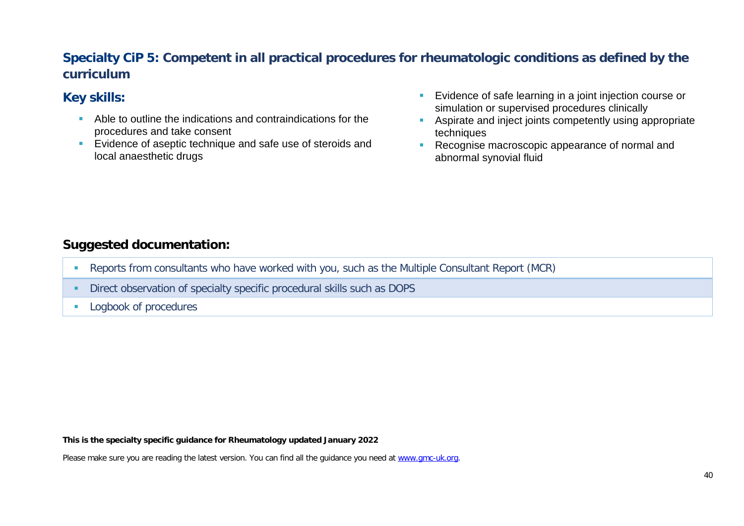# **Specialty CiP 5: Competent in all practical procedures for rheumatologic conditions as defined by the curriculum**

# **Key skills:**

- Able to outline the indications and contraindications for the procedures and take consent
- **E** Evidence of aseptic technique and safe use of steroids and local anaesthetic drugs
- **Evidence of safe learning in a joint injection course or** simulation or supervised procedures clinically
- **Aspirate and inject joints competently using appropriate** techniques
- Recognise macroscopic appearance of normal and abnormal synovial fluid

## **Suggested documentation:**

- Reports from consultants who have worked with you, such as the Multiple Consultant Report (MCR)
- Direct observation of specialty specific procedural skills such as DOPS
- **Logbook of procedures**

#### **This is the specialty specific guidance for Rheumatology updated January 2022**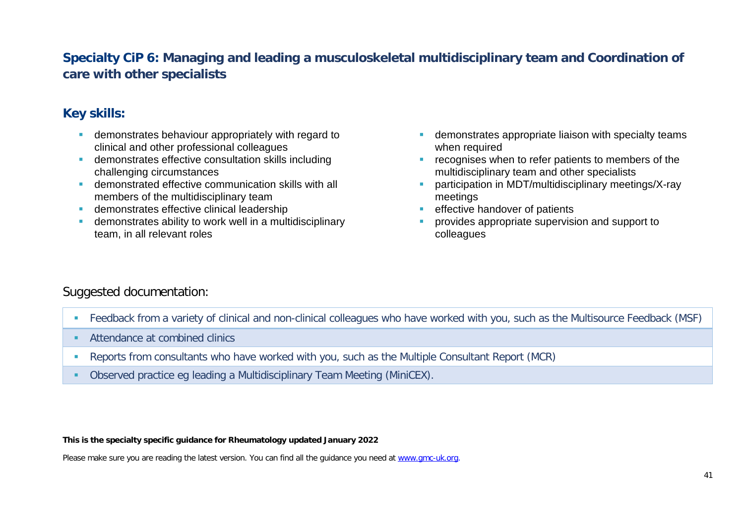# **Specialty CiP 6: Managing and leading a musculoskeletal multidisciplinary team and Coordination of care with other specialists**

# **Key skills:**

- **demonstrates behaviour appropriately with regard to** clinical and other professional colleagues
- demonstrates effective consultation skills including challenging circumstances
- demonstrated effective communication skills with all members of the multidisciplinary team
- **demonstrates effective clinical leadership**
- demonstrates ability to work well in a multidisciplinary team, in all relevant roles
- **EXECTE 1** demonstrates appropriate liaison with specialty teams when required
- recognises when to refer patients to members of the multidisciplinary team and other specialists
- participation in MDT/multidisciplinary meetings/X-ray meetings
- effective handover of patients
- **PEDRICE** provides appropriate supervision and support to colleagues

## Suggested documentation:

- Feedback from a variety of clinical and non-clinical colleagues who have worked with you, such as the Multisource Feedback (MSF)
- **Attendance at combined clinics**
- Reports from consultants who have worked with you, such as the Multiple Consultant Report (MCR)
- Observed practice eg leading a Multidisciplinary Team Meeting (MiniCEX).

#### **This is the specialty specific guidance for Rheumatology updated January 2022**

Please make sure you are reading the latest version. You can find all the guidance you need at [www.gmc-uk.org.](http://www.gmc-uk.org/)